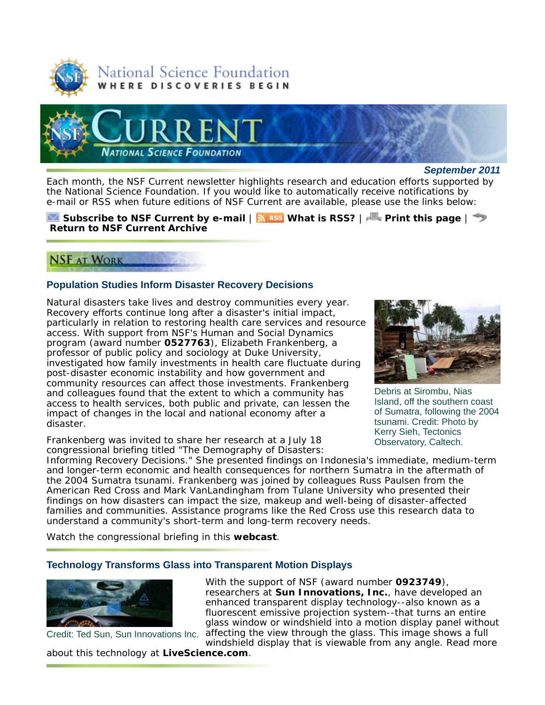



*September 2011*

Each month, the *NSF Current* newsletter highlights research and education efforts supported by the National Science Foundation. If you would like to automatically receive notifications by e-mail or RSS when future editions of *NSF Current* are available, please use the links below:

#### **Subscribe to** *NSF Current* **by e-mail** | **What is RSS?** | **Print this page** | **Return to** *NSF Current* **Archive**

# **NSF AT WORK**

# **Population Studies Inform Disaster Recovery Decisions**

Natural disasters take lives and destroy communities every year. Recovery efforts continue long after a disaster's initial impact, particularly in relation to restoring health care services and resource access. With support from NSF's Human and Social Dynamics program (award number **0527763**), Elizabeth Frankenberg, a professor of public policy and sociology at Duke University, investigated how family investments in health care fluctuate during post-disaster economic instability and how government and community resources can affect those investments. Frankenberg and colleagues found that the extent to which a community has access to health services, both public and private, can lessen the impact of changes in the local and national economy after a disaster.

Frankenberg was invited to share her research at a July 18 congressional briefing titled "The Demography of Disasters:



Debris at Sirombu, Nias Island, off the southern coast of Sumatra, following the 2004 tsunami. Credit: Photo by Kerry Sieh, Tectonics Observatory, Caltech.

Informing Recovery Decisions." She presented findings on Indonesia's immediate, medium-term and longer-term economic and health consequences for northern Sumatra in the aftermath of the 2004 Sumatra tsunami. Frankenberg was joined by colleagues Russ Paulsen from the American Red Cross and Mark VanLandingham from Tulane University who presented their findings on how disasters can impact the size, makeup and well-being of disaster-affected families and communities. Assistance programs like the Red Cross use this research data to understand a community's short-term and long-term recovery needs.

Watch the congressional briefing in this **webcast**.

## **Technology Transforms Glass into Transparent Motion Displays**



Credit: Ted Sun, Sun Innovations Inc. affecting the view through the glass. This image shows a full With the support of NSF (award number **0923749**), researchers at **Sun Innovations, Inc.**, have developed an enhanced transparent display technology--also known as a fluorescent emissive projection system--that turns an entire glass window or windshield into a motion display panel without windshield display that is viewable from any angle. Read more

about this technology at **LiveScience.com**.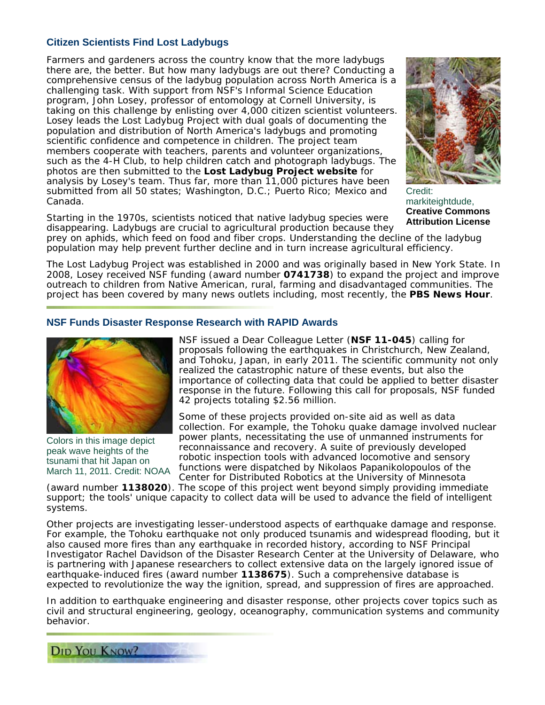# **Citizen Scientists Find Lost Ladybugs**

Farmers and gardeners across the country know that the more ladybugs there are, the better. But how many ladybugs are out there? Conducting a comprehensive census of the ladybug population across North America is a challenging task. With support from NSF's Informal Science Education program, John Losey, professor of entomology at Cornell University, is taking on this challenge by enlisting over 4,000 citizen scientist volunteers. Losey leads the Lost Ladybug Project with dual goals of documenting the population and distribution of North America's ladybugs and promoting scientific confidence and competence in children. The project team members cooperate with teachers, parents and volunteer organizations, such as the 4-H Club, to help children catch and photograph ladybugs. The photos are then submitted to the **Lost Ladybug Project website** for analysis by Losey's team. Thus far, more than 11,000 pictures have been submitted from all 50 states; Washington, D.C.; Puerto Rico; Mexico and Canada.



Credit: markiteightdude, **Creative Commons Attribution License**

Starting in the 1970s, scientists noticed that native ladybug species were disappearing. Ladybugs are crucial to agricultural production because they

prey on aphids, which feed on food and fiber crops. Understanding the decline of the ladybug population may help prevent further decline and in turn increase agricultural efficiency.

The Lost Ladybug Project was established in 2000 and was originally based in New York State. In 2008, Losey received NSF funding (award number **0741738**) to expand the project and improve outreach to children from Native American, rural, farming and disadvantaged communities. The project has been covered by many news outlets including, most recently, the **PBS News Hour**.

## **NSF Funds Disaster Response Research with RAPID Awards**



Colors in this image depict peak wave heights of the tsunami that hit Japan on March 11, 2011. Credit: NOAA

NSF issued a Dear Colleague Letter (**NSF 11-045**) calling for proposals following the earthquakes in Christchurch, New Zealand, and Tohoku, Japan, in early 2011. The scientific community not only realized the catastrophic nature of these events, but also the importance of collecting data that could be applied to better disaster response in the future. Following this call for proposals, NSF funded 42 projects totaling \$2.56 million.

Some of these projects provided on-site aid as well as data collection. For example, the Tohoku quake damage involved nuclear power plants, necessitating the use of unmanned instruments for reconnaissance and recovery. A suite of previously developed robotic inspection tools with advanced locomotive and sensory functions were dispatched by Nikolaos Papanikolopoulos of the Center for Distributed Robotics at the University of Minnesota

(award number **1138020**). The scope of this project went beyond simply providing immediate support; the tools' unique capacity to collect data will be used to advance the field of intelligent systems.

Other projects are investigating lesser-understood aspects of earthquake damage and response. For example, the Tohoku earthquake not only produced tsunamis and widespread flooding, but it also caused more fires than any earthquake in recorded history, according to NSF Principal Investigator Rachel Davidson of the Disaster Research Center at the University of Delaware, who is partnering with Japanese researchers to collect extensive data on the largely ignored issue of earthquake-induced fires (award number **1138675**). Such a comprehensive database is expected to revolutionize the way the ignition, spread, and suppression of fires are approached.

In addition to earthquake engineering and disaster response, other projects cover topics such as civil and structural engineering, geology, oceanography, communication systems and community behavior.

**DID YOU KNOW?**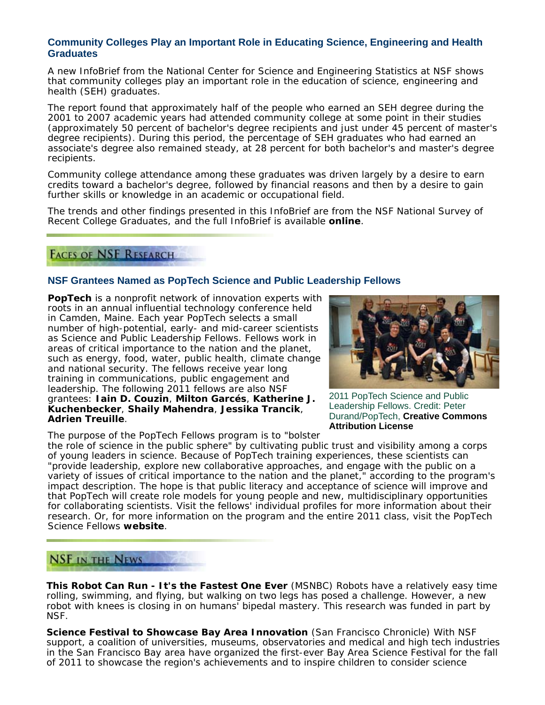## **Community Colleges Play an Important Role in Educating Science, Engineering and Health Graduates**

A new InfoBrief from the National Center for Science and Engineering Statistics at NSF shows that community colleges play an important role in the education of science, engineering and health (SEH) graduates.

The report found that approximately half of the people who earned an SEH degree during the 2001 to 2007 academic years had attended community college at some point in their studies (approximately 50 percent of bachelor's degree recipients and just under 45 percent of master's degree recipients). During this period, the percentage of SEH graduates who had earned an associate's degree also remained steady, at 28 percent for both bachelor's and master's degree recipients.

Community college attendance among these graduates was driven largely by a desire to earn credits toward a bachelor's degree, followed by financial reasons and then by a desire to gain further skills or knowledge in an academic or occupational field.

The trends and other findings presented in this InfoBrief are from the NSF National Survey of Recent College Graduates, and the full InfoBrief is available **online**.

# **FACES OF NSF RESEARCH**

## **NSF Grantees Named as PopTech Science and Public Leadership Fellows**

**PopTech** is a nonprofit network of innovation experts with roots in an annual influential technology conference held in Camden, Maine. Each year PopTech selects a small number of high-potential, early- and mid-career scientists as Science and Public Leadership Fellows. Fellows work in areas of critical importance to the nation and the planet, such as energy, food, water, public health, climate change and national security. The fellows receive year long training in communications, public engagement and leadership. The following 2011 fellows are also NSF grantees: **Iain D. Couzin**, **Milton Garcés**, **Katherine J. Kuchenbecker**, **Shaily Mahendra**, **Jessika Trancik**, **Adrien Treuille**.

The purpose of the PopTech Fellows program is to "bolster



2011 PopTech Science and Public Leadership Fellows. Credit: Peter Durand/PopTech, **Creative Commons Attribution License**

the role of science in the public sphere" by cultivating public trust and visibility among a corps of young leaders in science. Because of PopTech training experiences, these scientists can "provide leadership, explore new collaborative approaches, and engage with the public on a variety of issues of critical importance to the nation and the planet," according to the program's impact description. The hope is that public literacy and acceptance of science will improve and that PopTech will create role models for young people and new, multidisciplinary opportunities for collaborating scientists. Visit the fellows' individual profiles for more information about their research. Or, for more information on the program and the entire 2011 class, visit the PopTech Science Fellows **website**.

# **NSF IN THE NEWS**

**This Robot Can Run - It's the Fastest One Ever** (*MSNBC*) Robots have a relatively easy time rolling, swimming, and flying, but walking on two legs has posed a challenge. However, a new robot with knees is closing in on humans' bipedal mastery. This research was funded in part by NSF.

**Science Festival to Showcase Bay Area Innovation** (*San Francisco Chronicle*) With NSF support, a coalition of universities, museums, observatories and medical and high tech industries in the San Francisco Bay area have organized the first-ever Bay Area Science Festival for the fall of 2011 to showcase the region's achievements and to inspire children to consider science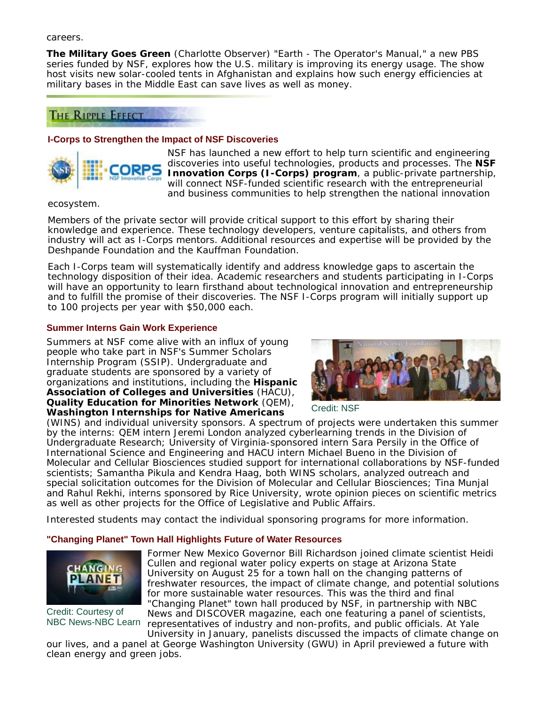careers.

**The Military Goes Green** (*Charlotte Observer*) "Earth - The Operator's Manual," a new PBS series funded by NSF, explores how the U.S. military is improving its energy usage. The show host visits new solar-cooled tents in Afghanistan and explains how such energy efficiencies at military bases in the Middle East can save lives as well as money.

# **THE RIPPLE EFFECT**

#### **I-Corps to Strengthen the Impact of NSF Discoveries**



NSF has launched a new effort to help turn scientific and engineering discoveries into useful technologies, products and processes. The **NSF Innovation Corps (I-Corps) program**, a public-private partnership, will connect NSF-funded scientific research with the entrepreneurial and business communities to help strengthen the national innovation

ecosystem.

Members of the private sector will provide critical support to this effort by sharing their knowledge and experience. These technology developers, venture capitalists, and others from industry will act as I-Corps mentors. Additional resources and expertise will be provided by the Deshpande Foundation and the Kauffman Foundation.

Each I-Corps team will systematically identify and address knowledge gaps to ascertain the technology disposition of their idea. Academic researchers and students participating in I-Corps will have an opportunity to learn firsthand about technological innovation and entrepreneurship and to fulfill the promise of their discoveries. The NSF I-Corps program will initially support up to 100 projects per year with \$50,000 each.

#### **Summer Interns Gain Work Experience**

Summers at NSF come alive with an influx of young people who take part in NSF's Summer Scholars Internship Program (SSIP). Undergraduate and graduate students are sponsored by a variety of organizations and institutions, including the **Hispanic Association of Colleges and Universities** (HACU), **Quality Education for Minorities Network** (QEM), **Washington Internships for Native Americans**



Credit: NSF

(WINS) and individual university sponsors. A spectrum of projects were undertaken this summer by the interns: QEM intern Jeremi London analyzed cyberlearning trends in the Division of Undergraduate Research; University of Virginia-sponsored intern Sara Persily in the Office of International Science and Engineering and HACU intern Michael Bueno in the Division of Molecular and Cellular Biosciences studied support for international collaborations by NSF-funded scientists; Samantha Pikula and Kendra Haag, both WINS scholars, analyzed outreach and special solicitation outcomes for the Division of Molecular and Cellular Biosciences; Tina Munjal and Rahul Rekhi, interns sponsored by Rice University, wrote opinion pieces on scientific metrics as well as other projects for the Office of Legislative and Public Affairs.

Interested students may contact the individual sponsoring programs for more information.

## **"Changing Planet" Town Hall Highlights Future of Water Resources**



Credit: Courtesy of

NBC News-NBC Learn representatives of industry and non-profits, and public officials. At Yale Former New Mexico Governor Bill Richardson joined climate scientist Heidi Cullen and regional water policy experts on stage at Arizona State University on August 25 for a town hall on the changing patterns of freshwater resources, the impact of climate change, and potential solutions for more sustainable water resources. This was the third and final "Changing Planet" town hall produced by NSF, in partnership with *NBC News* and *DISCOVER* magazine, each one featuring a panel of scientists,

University in January, panelists discussed the impacts of climate change on our lives, and a panel at George Washington University (GWU) in April previewed a future with clean energy and green jobs.